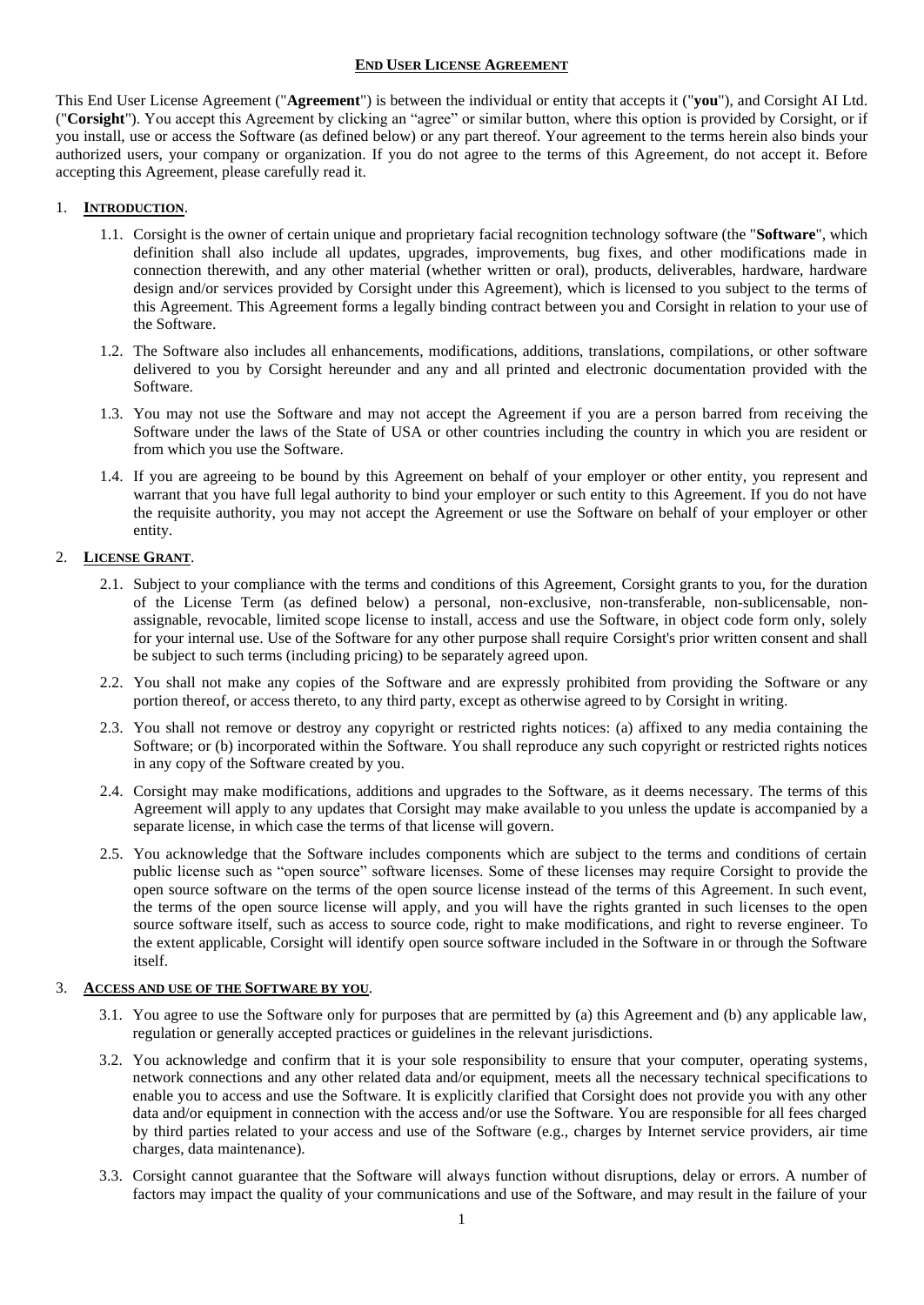### **END USER LICENSE AGREEMENT**

This End User License Agreement ("**Agreement**") is between the individual or entity that accepts it ("**you**"), and Corsight AI Ltd. ("**Corsight**"). You accept this Agreement by clicking an "agree" or similar button, where this option is provided by Corsight, or if you install, use or access the Software (as defined below) or any part thereof. Your agreement to the terms herein also binds your authorized users, your company or organization. If you do not agree to the terms of this Agreement, do not accept it. Before accepting this Agreement, please carefully read it.

## 1. **INTRODUCTION**.

- 1.1. Corsight is the owner of certain unique and proprietary facial recognition technology software (the "**Software**", which definition shall also include all updates, upgrades, improvements, bug fixes, and other modifications made in connection therewith, and any other material (whether written or oral), products, deliverables, hardware, hardware design and/or services provided by Corsight under this Agreement), which is licensed to you subject to the terms of this Agreement. This Agreement forms a legally binding contract between you and Corsight in relation to your use of the Software.
- 1.2. The Software also includes all enhancements, modifications, additions, translations, compilations, or other software delivered to you by Corsight hereunder and any and all printed and electronic documentation provided with the Software.
- 1.3. You may not use the Software and may not accept the Agreement if you are a person barred from receiving the Software under the laws of the State of USA or other countries including the country in which you are resident or from which you use the Software.
- 1.4. If you are agreeing to be bound by this Agreement on behalf of your employer or other entity, you represent and warrant that you have full legal authority to bind your employer or such entity to this Agreement. If you do not have the requisite authority, you may not accept the Agreement or use the Software on behalf of your employer or other entity.

## 2. **LICENSE GRANT**.

- 2.1. Subject to your compliance with the terms and conditions of this Agreement, Corsight grants to you, for the duration of the License Term (as defined below) a personal, non-exclusive, non-transferable, non-sublicensable, nonassignable, revocable, limited scope license to install, access and use the Software, in object code form only, solely for your internal use. Use of the Software for any other purpose shall require Corsight's prior written consent and shall be subject to such terms (including pricing) to be separately agreed upon.
- 2.2. You shall not make any copies of the Software and are expressly prohibited from providing the Software or any portion thereof, or access thereto, to any third party, except as otherwise agreed to by Corsight in writing.
- 2.3. You shall not remove or destroy any copyright or restricted rights notices: (a) affixed to any media containing the Software; or (b) incorporated within the Software. You shall reproduce any such copyright or restricted rights notices in any copy of the Software created by you.
- 2.4. Corsight may make modifications, additions and upgrades to the Software, as it deems necessary. The terms of this Agreement will apply to any updates that Corsight may make available to you unless the update is accompanied by a separate license, in which case the terms of that license will govern.
- 2.5. You acknowledge that the Software includes components which are subject to the terms and conditions of certain public license such as "open source" software licenses. Some of these licenses may require Corsight to provide the open source software on the terms of the open source license instead of the terms of this Agreement. In such event, the terms of the open source license will apply, and you will have the rights granted in such licenses to the open source software itself, such as access to source code, right to make modifications, and right to reverse engineer. To the extent applicable, Corsight will identify open source software included in the Software in or through the Software itself.

## 3. **ACCESS AND USE OF THE SOFTWARE BY YOU**.

- 3.1. You agree to use the Software only for purposes that are permitted by (a) this Agreement and (b) any applicable law, regulation or generally accepted practices or guidelines in the relevant jurisdictions.
- 3.2. You acknowledge and confirm that it is your sole responsibility to ensure that your computer, operating systems, network connections and any other related data and/or equipment, meets all the necessary technical specifications to enable you to access and use the Software. It is explicitly clarified that Corsight does not provide you with any other data and/or equipment in connection with the access and/or use the Software. You are responsible for all fees charged by third parties related to your access and use of the Software (e.g., charges by Internet service providers, air time charges, data maintenance).
- 3.3. Corsight cannot guarantee that the Software will always function without disruptions, delay or errors. A number of factors may impact the quality of your communications and use of the Software, and may result in the failure of your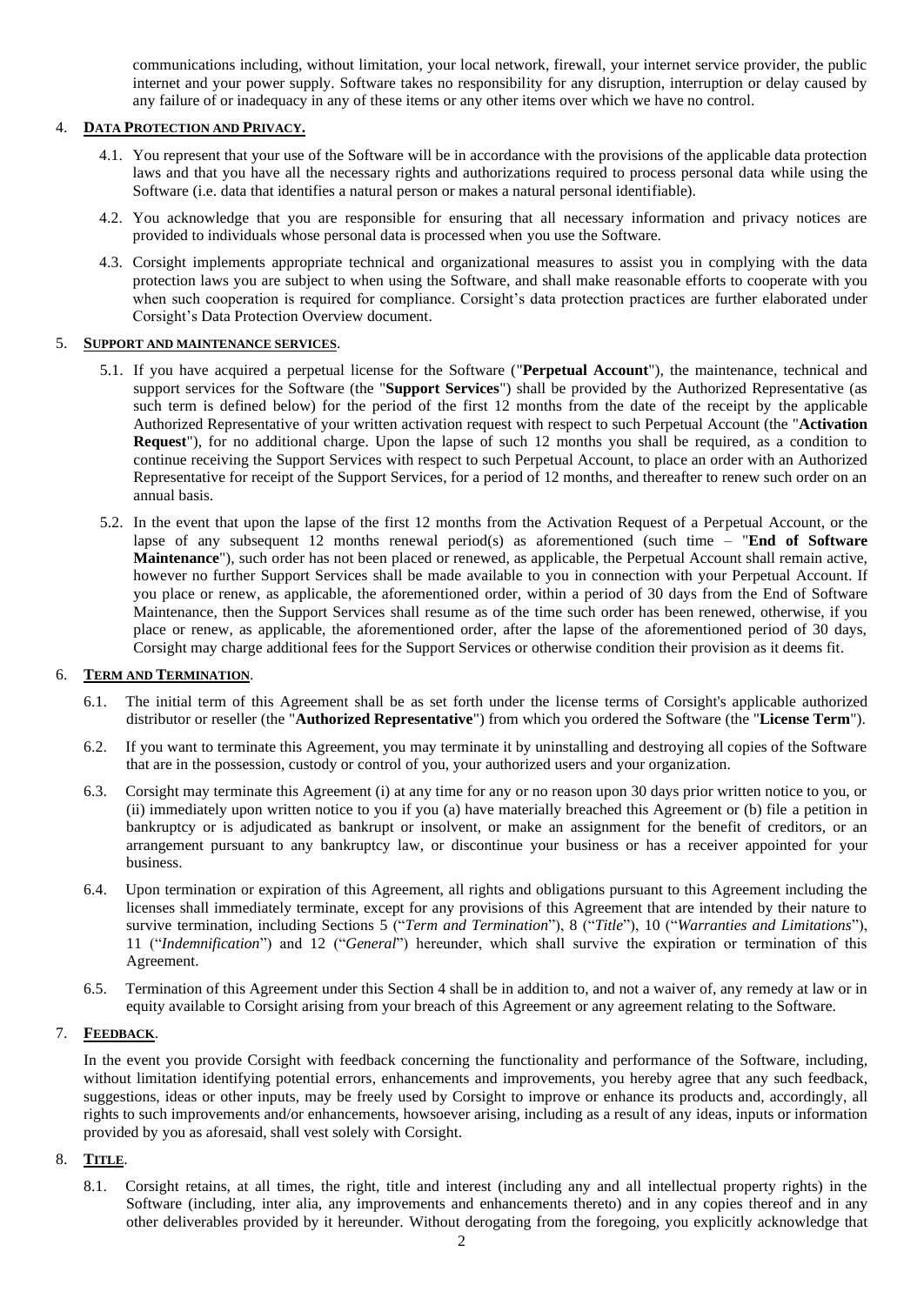communications including, without limitation, your local network, firewall, your internet service provider, the public internet and your power supply. Software takes no responsibility for any disruption, interruption or delay caused by any failure of or inadequacy in any of these items or any other items over which we have no control.

# 4. **DATA PROTECTION AND PRIVACY.**

- 4.1. You represent that your use of the Software will be in accordance with the provisions of the applicable data protection laws and that you have all the necessary rights and authorizations required to process personal data while using the Software (i.e. data that identifies a natural person or makes a natural personal identifiable).
- 4.2. You acknowledge that you are responsible for ensuring that all necessary information and privacy notices are provided to individuals whose personal data is processed when you use the Software.
- 4.3. Corsight implements appropriate technical and organizational measures to assist you in complying with the data protection laws you are subject to when using the Software, and shall make reasonable efforts to cooperate with you when such cooperation is required for compliance. Corsight's data protection practices are further elaborated under Corsight's Data Protection Overview document.

## 5. **SUPPORT AND MAINTENANCE SERVICES**.

- 5.1. If you have acquired a perpetual license for the Software ("**Perpetual Account**"), the maintenance, technical and support services for the Software (the "**Support Services**") shall be provided by the Authorized Representative (as such term is defined below) for the period of the first 12 months from the date of the receipt by the applicable Authorized Representative of your written activation request with respect to such Perpetual Account (the "**Activation Request**"), for no additional charge. Upon the lapse of such 12 months you shall be required, as a condition to continue receiving the Support Services with respect to such Perpetual Account, to place an order with an Authorized Representative for receipt of the Support Services, for a period of 12 months, and thereafter to renew such order on an annual basis.
- 5.2. In the event that upon the lapse of the first 12 months from the Activation Request of a Perpetual Account, or the lapse of any subsequent 12 months renewal period(s) as aforementioned (such time – "**End of Software Maintenance**"), such order has not been placed or renewed, as applicable, the Perpetual Account shall remain active, however no further Support Services shall be made available to you in connection with your Perpetual Account. If you place or renew, as applicable, the aforementioned order, within a period of 30 days from the End of Software Maintenance, then the Support Services shall resume as of the time such order has been renewed, otherwise, if you place or renew, as applicable, the aforementioned order, after the lapse of the aforementioned period of 30 days, Corsight may charge additional fees for the Support Services or otherwise condition their provision as it deems fit.

## 6. **TERM AND TERMINATION**.

- 6.1. The initial term of this Agreement shall be as set forth under the license terms of Corsight's applicable authorized distributor or reseller (the "**Authorized Representative**") from which you ordered the Software (the "**License Term**").
- 6.2. If you want to terminate this Agreement, you may terminate it by uninstalling and destroying all copies of the Software that are in the possession, custody or control of you, your authorized users and your organization.
- 6.3. Corsight may terminate this Agreement (i) at any time for any or no reason upon 30 days prior written notice to you, or (ii) immediately upon written notice to you if you (a) have materially breached this Agreement or (b) file a petition in bankruptcy or is adjudicated as bankrupt or insolvent, or make an assignment for the benefit of creditors, or an arrangement pursuant to any bankruptcy law, or discontinue your business or has a receiver appointed for your business.
- 6.4. Upon termination or expiration of this Agreement, all rights and obligations pursuant to this Agreement including the licenses shall immediately terminate, except for any provisions of this Agreement that are intended by their nature to survive termination, including Sections 5 ("*Term and Termination*"), 8 ("*Title*"), 10 ("*Warranties and Limitations*"), 11 ("*Indemnification*") and 12 ("*General*") hereunder, which shall survive the expiration or termination of this Agreement.
- 6.5. Termination of this Agreement under this Section 4 shall be in addition to, and not a waiver of, any remedy at law or in equity available to Corsight arising from your breach of this Agreement or any agreement relating to the Software.

#### 7. **FEEDBACK**.

In the event you provide Corsight with feedback concerning the functionality and performance of the Software, including, without limitation identifying potential errors, enhancements and improvements, you hereby agree that any such feedback, suggestions, ideas or other inputs, may be freely used by Corsight to improve or enhance its products and, accordingly, all rights to such improvements and/or enhancements, howsoever arising, including as a result of any ideas, inputs or information provided by you as aforesaid, shall vest solely with Corsight.

## 8. **TITLE**.

8.1. Corsight retains, at all times, the right, title and interest (including any and all intellectual property rights) in the Software (including, inter alia, any improvements and enhancements thereto) and in any copies thereof and in any other deliverables provided by it hereunder. Without derogating from the foregoing, you explicitly acknowledge that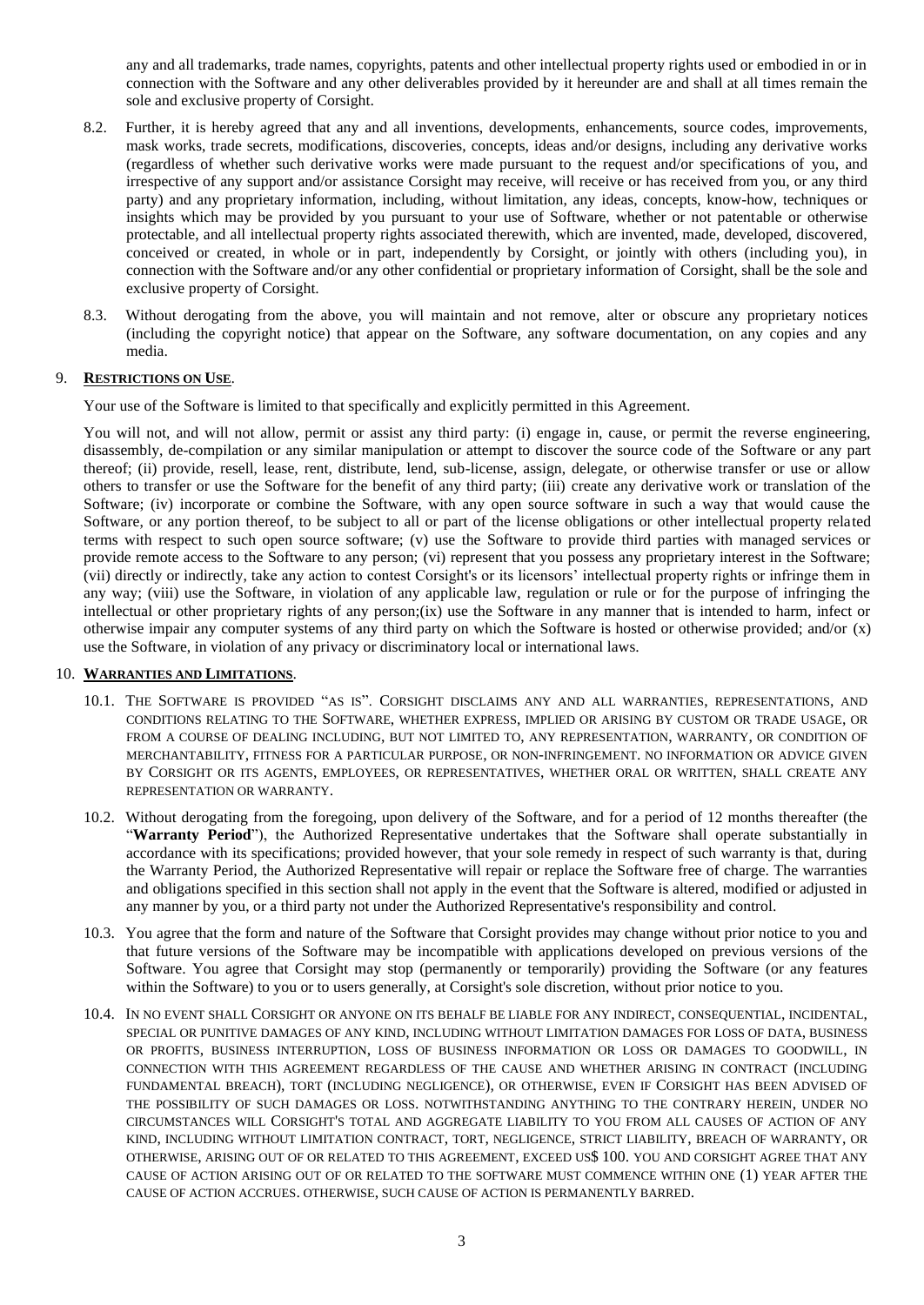any and all trademarks, trade names, copyrights, patents and other intellectual property rights used or embodied in or in connection with the Software and any other deliverables provided by it hereunder are and shall at all times remain the sole and exclusive property of Corsight.

- 8.2. Further, it is hereby agreed that any and all inventions, developments, enhancements, source codes, improvements, mask works, trade secrets, modifications, discoveries, concepts, ideas and/or designs, including any derivative works (regardless of whether such derivative works were made pursuant to the request and/or specifications of you, and irrespective of any support and/or assistance Corsight may receive, will receive or has received from you, or any third party) and any proprietary information, including, without limitation, any ideas, concepts, know-how, techniques or insights which may be provided by you pursuant to your use of Software, whether or not patentable or otherwise protectable, and all intellectual property rights associated therewith, which are invented, made, developed, discovered, conceived or created, in whole or in part, independently by Corsight, or jointly with others (including you), in connection with the Software and/or any other confidential or proprietary information of Corsight, shall be the sole and exclusive property of Corsight.
- 8.3. Without derogating from the above, you will maintain and not remove, alter or obscure any proprietary notices (including the copyright notice) that appear on the Software, any software documentation, on any copies and any media.

## 9. **RESTRICTIONS ON USE**.

Your use of the Software is limited to that specifically and explicitly permitted in this Agreement.

You will not, and will not allow, permit or assist any third party: (i) engage in, cause, or permit the reverse engineering, disassembly, de-compilation or any similar manipulation or attempt to discover the source code of the Software or any part thereof; (ii) provide, resell, lease, rent, distribute, lend, sub-license, assign, delegate, or otherwise transfer or use or allow others to transfer or use the Software for the benefit of any third party; (iii) create any derivative work or translation of the Software; (iv) incorporate or combine the Software, with any open source software in such a way that would cause the Software, or any portion thereof, to be subject to all or part of the license obligations or other intellectual property related terms with respect to such open source software; (v) use the Software to provide third parties with managed services or provide remote access to the Software to any person; (vi) represent that you possess any proprietary interest in the Software; (vii) directly or indirectly, take any action to contest Corsight's or its licensors' intellectual property rights or infringe them in any way; (viii) use the Software, in violation of any applicable law, regulation or rule or for the purpose of infringing the intellectual or other proprietary rights of any person;(ix) use the Software in any manner that is intended to harm, infect or otherwise impair any computer systems of any third party on which the Software is hosted or otherwise provided; and/or (x) use the Software, in violation of any privacy or discriminatory local or international laws.

# 10. **WARRANTIES AND LIMITATIONS**.

- 10.1. THE SOFTWARE IS PROVIDED "AS IS". CORSIGHT DISCLAIMS ANY AND ALL WARRANTIES, REPRESENTATIONS, AND CONDITIONS RELATING TO THE SOFTWARE, WHETHER EXPRESS, IMPLIED OR ARISING BY CUSTOM OR TRADE USAGE, OR FROM A COURSE OF DEALING INCLUDING, BUT NOT LIMITED TO, ANY REPRESENTATION, WARRANTY, OR CONDITION OF MERCHANTABILITY, FITNESS FOR A PARTICULAR PURPOSE, OR NON-INFRINGEMENT. NO INFORMATION OR ADVICE GIVEN BY CORSIGHT OR ITS AGENTS, EMPLOYEES, OR REPRESENTATIVES, WHETHER ORAL OR WRITTEN, SHALL CREATE ANY REPRESENTATION OR WARRANTY.
- 10.2. Without derogating from the foregoing, upon delivery of the Software, and for a period of 12 months thereafter (the "**Warranty Period**"), the Authorized Representative undertakes that the Software shall operate substantially in accordance with its specifications; provided however, that your sole remedy in respect of such warranty is that, during the Warranty Period, the Authorized Representative will repair or replace the Software free of charge. The warranties and obligations specified in this section shall not apply in the event that the Software is altered, modified or adjusted in any manner by you, or a third party not under the Authorized Representative's responsibility and control.
- 10.3. You agree that the form and nature of the Software that Corsight provides may change without prior notice to you and that future versions of the Software may be incompatible with applications developed on previous versions of the Software. You agree that Corsight may stop (permanently or temporarily) providing the Software (or any features within the Software) to you or to users generally, at Corsight's sole discretion, without prior notice to you.
- 10.4. IN NO EVENT SHALL CORSIGHT OR ANYONE ON ITS BEHALF BE LIABLE FOR ANY INDIRECT, CONSEQUENTIAL, INCIDENTAL, SPECIAL OR PUNITIVE DAMAGES OF ANY KIND, INCLUDING WITHOUT LIMITATION DAMAGES FOR LOSS OF DATA, BUSINESS OR PROFITS, BUSINESS INTERRUPTION, LOSS OF BUSINESS INFORMATION OR LOSS OR DAMAGES TO GOODWILL, IN CONNECTION WITH THIS AGREEMENT REGARDLESS OF THE CAUSE AND WHETHER ARISING IN CONTRACT (INCLUDING FUNDAMENTAL BREACH), TORT (INCLUDING NEGLIGENCE), OR OTHERWISE, EVEN IF CORSIGHT HAS BEEN ADVISED OF THE POSSIBILITY OF SUCH DAMAGES OR LOSS. NOTWITHSTANDING ANYTHING TO THE CONTRARY HEREIN, UNDER NO CIRCUMSTANCES WILL CORSIGHT'S TOTAL AND AGGREGATE LIABILITY TO YOU FROM ALL CAUSES OF ACTION OF ANY KIND, INCLUDING WITHOUT LIMITATION CONTRACT, TORT, NEGLIGENCE, STRICT LIABILITY, BREACH OF WARRANTY, OR OTHERWISE, ARISING OUT OF OR RELATED TO THIS AGREEMENT, EXCEED US\$ 100. YOU AND CORSIGHT AGREE THAT ANY CAUSE OF ACTION ARISING OUT OF OR RELATED TO THE SOFTWARE MUST COMMENCE WITHIN ONE (1) YEAR AFTER THE CAUSE OF ACTION ACCRUES. OTHERWISE, SUCH CAUSE OF ACTION IS PERMANENTLY BARRED.